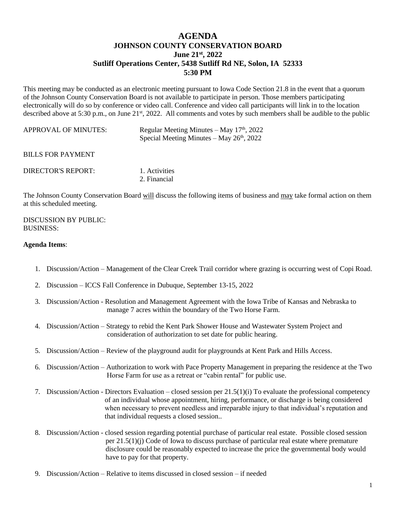## **AGENDA JOHNSON COUNTY CONSERVATION BOARD June 21st , 2022 Sutliff Operations Center, 5438 Sutliff Rd NE, Solon, IA 52333 5:30 PM**

This meeting may be conducted as an electronic meeting pursuant to Iowa Code Section 21.8 in the event that a quorum of the Johnson County Conservation Board is not available to participate in person. Those members participating electronically will do so by conference or video call. Conference and video call participants will link in to the location described above at 5:30 p.m., on June 21<sup>st</sup>, 2022. All comments and votes by such members shall be audible to the public

| <b>APPROVAL OF MINUTES:</b> | Regular Meeting Minutes – May $17th$ , 2022<br>Special Meeting Minutes – May $26th$ , 2022 |
|-----------------------------|--------------------------------------------------------------------------------------------|
| <b>BILLS FOR PAYMENT</b>    |                                                                                            |
| DIRECTOR'S REPORT:          | 1. Activities<br>2. Financial                                                              |

The Johnson County Conservation Board will discuss the following items of business and may take formal action on them at this scheduled meeting.

DISCUSSION BY PUBLIC: BUSINESS:

## **Agenda Items**:

- 1. Discussion/Action Management of the Clear Creek Trail corridor where grazing is occurring west of Copi Road.
- 2. Discussion ICCS Fall Conference in Dubuque, September 13-15, 2022
- 3. Discussion/Action Resolution and Management Agreement with the Iowa Tribe of Kansas and Nebraska to manage 7 acres within the boundary of the Two Horse Farm.
- 4. Discussion/Action Strategy to rebid the Kent Park Shower House and Wastewater System Project and consideration of authorization to set date for public hearing.
- 5. Discussion/Action Review of the playground audit for playgrounds at Kent Park and Hills Access.
- 6. Discussion/Action Authorization to work with Pace Property Management in preparing the residence at the Two Horse Farm for use as a retreat or "cabin rental" for public use.
- 7. Discussion/Action Directors Evaluation closed session per 21.5(1)(i) To evaluate the professional competency of an individual whose appointment, hiring, performance, or discharge is being considered when necessary to prevent needless and irreparable injury to that individual's reputation and that individual requests a closed session..
- 8. Discussion/Action closed session regarding potential purchase of particular real estate. Possible closed session per 21.5(1)(j) Code of Iowa to discuss purchase of particular real estate where premature disclosure could be reasonably expected to increase the price the governmental body would have to pay for that property.
- 9. Discussion/Action Relative to items discussed in closed session if needed